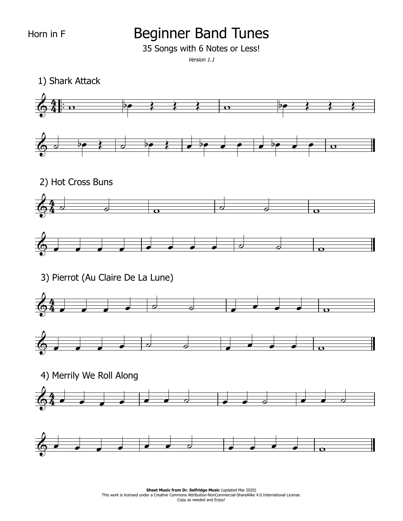## Beginner Band Tunes

35 Songs with 6 Notes or Less!

Version 1.1

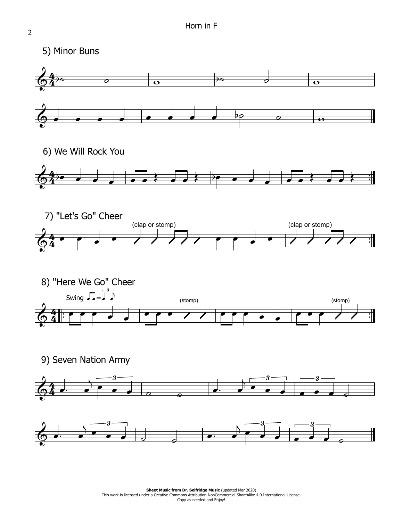









9) Seven Nation Army



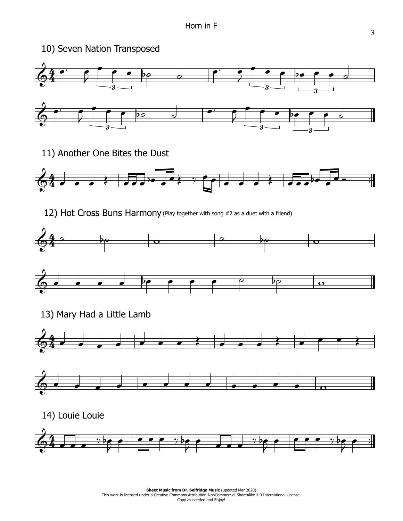



14) Louie Louie

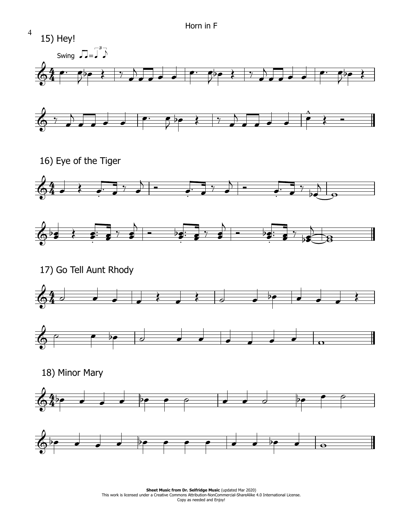

**Sheet Music from Dr. Selfridge Music (updated Mar 2020) Sheet Music from Dr. Selfridge Music** (updated Mar 2020)<br>This work is licensed under a Creative Commons Attribution-NonCommercial-ShareAlike 4.0 International License. Copy as needed and Enjoy!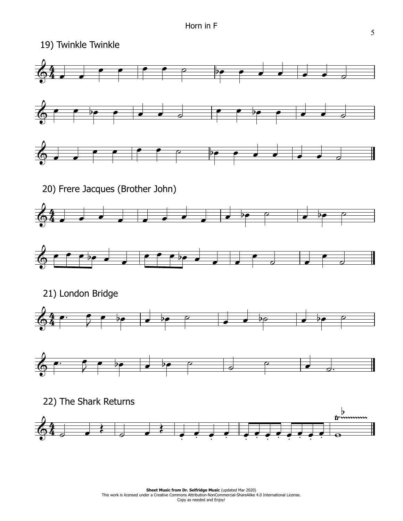

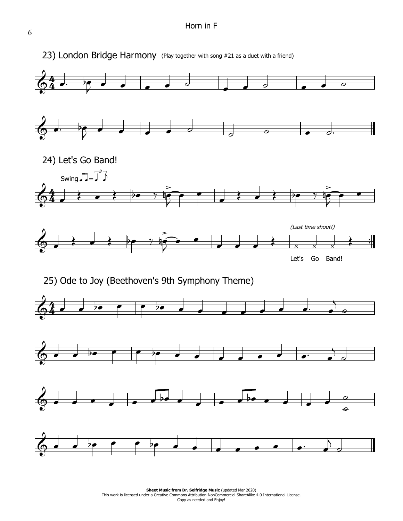## Horn in F



6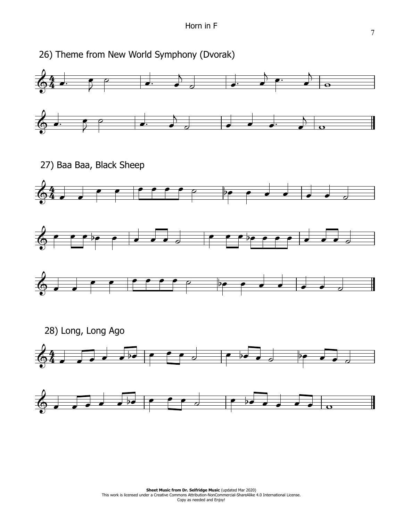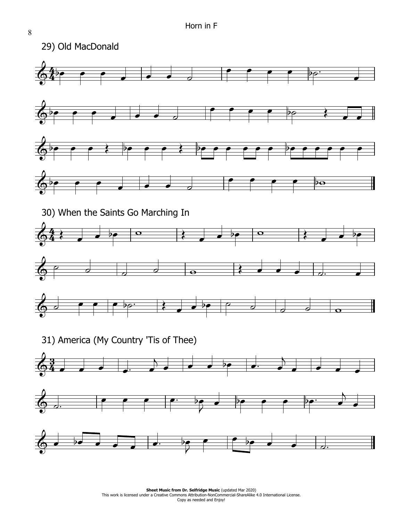